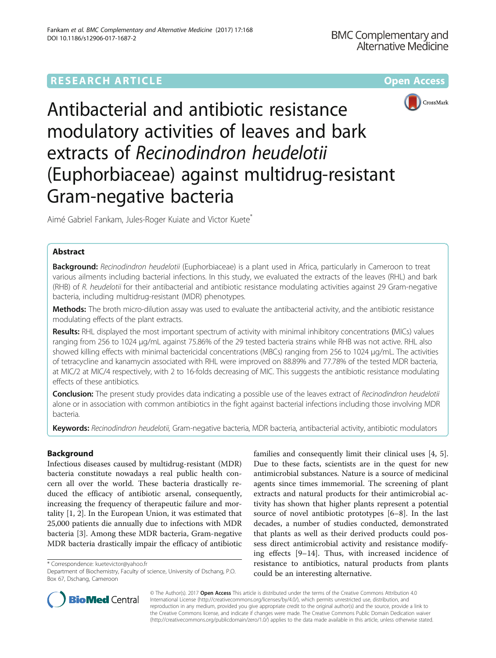# **RESEARCH ARTICLE Example 2014 12:30 The Contract of Contract ACCESS**



# Antibacterial and antibiotic resistance modulatory activities of leaves and bark extracts of Recinodindron heudelotii (Euphorbiaceae) against multidrug-resistant Gram-negative bacteria

Aimé Gabriel Fankam, Jules-Roger Kuiate and Victor Kuete<sup>\*</sup>

# Abstract

Background: Recinodindron heudelotii (Euphorbiaceae) is a plant used in Africa, particularly in Cameroon to treat various ailments including bacterial infections. In this study, we evaluated the extracts of the leaves (RHL) and bark (RHB) of R. heudelotii for their antibacterial and antibiotic resistance modulating activities against 29 Gram-negative bacteria, including multidrug-resistant (MDR) phenotypes.

Methods: The broth micro-dilution assay was used to evaluate the antibacterial activity, and the antibiotic resistance modulating effects of the plant extracts.

Results: RHL displayed the most important spectrum of activity with minimal inhibitory concentrations (MICs) values ranging from 256 to 1024 μg/mL against 75.86% of the 29 tested bacteria strains while RHB was not active. RHL also showed killing effects with minimal bactericidal concentrations (MBCs) ranging from 256 to 1024 μg/mL. The activities of tetracycline and kanamycin associated with RHL were improved on 88.89% and 77.78% of the tested MDR bacteria, at MIC/2 at MIC/4 respectively, with 2 to 16-folds decreasing of MIC. This suggests the antibiotic resistance modulating effects of these antibiotics.

Conclusion: The present study provides data indicating a possible use of the leaves extract of Recinodindron heudelotii alone or in association with common antibiotics in the fight against bacterial infections including those involving MDR bacteria.

Keywords: Recinodindron heudelotii, Gram-negative bacteria, MDR bacteria, antibacterial activity, antibiotic modulators

# Background

Infectious diseases caused by multidrug-resistant (MDR) bacteria constitute nowadays a real public health concern all over the world. These bacteria drastically reduced the efficacy of antibiotic arsenal, consequently, increasing the frequency of therapeutic failure and mortality [[1, 2\]](#page-4-0). In the European Union, it was estimated that 25,000 patients die annually due to infections with MDR bacteria [\[3](#page-4-0)]. Among these MDR bacteria, Gram-negative MDR bacteria drastically impair the efficacy of antibiotic

\* Correspondence: [kuetevictor@yahoo.fr](mailto:kuetevictor@yahoo.fr)

families and consequently limit their clinical uses [[4, 5](#page-4-0)]. Due to these facts, scientists are in the quest for new antimicrobial substances. Nature is a source of medicinal agents since times immemorial. The screening of plant extracts and natural products for their antimicrobial activity has shown that higher plants represent a potential source of novel antibiotic prototypes [[6](#page-4-0)–[8](#page-4-0)]. In the last decades, a number of studies conducted, demonstrated that plants as well as their derived products could possess direct antimicrobial activity and resistance modifying effects [[9](#page-4-0)–[14\]](#page-4-0). Thus, with increased incidence of resistance to antibiotics, natural products from plants could be an interesting alternative.



© The Author(s). 2017 **Open Access** This article is distributed under the terms of the Creative Commons Attribution 4.0 International License [\(http://creativecommons.org/licenses/by/4.0/](http://creativecommons.org/licenses/by/4.0/)), which permits unrestricted use, distribution, and reproduction in any medium, provided you give appropriate credit to the original author(s) and the source, provide a link to the Creative Commons license, and indicate if changes were made. The Creative Commons Public Domain Dedication waiver [\(http://creativecommons.org/publicdomain/zero/1.0/](http://creativecommons.org/publicdomain/zero/1.0/)) applies to the data made available in this article, unless otherwise stated.

Department of Biochemistry, Faculty of science, University of Dschang, P.O. Box 67, Dschang, Cameroon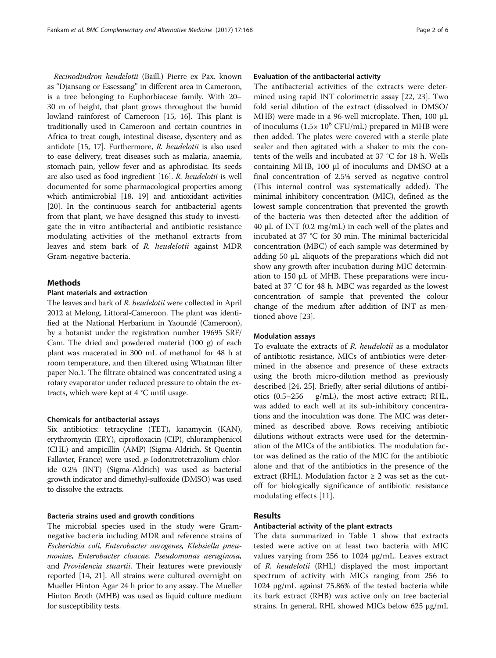Recinodindron heudelotii (Baill.) Pierre ex Pax. known as "Djansang or Essessang" in different area in Cameroon, is a tree belonging to Euphorbiaceae family. With 20– 30 m of height, that plant grows throughout the humid lowland rainforest of Cameroon [[15](#page-4-0), [16\]](#page-4-0). This plant is traditionally used in Cameroon and certain countries in Africa to treat cough, intestinal disease, dysentery and as antidote [\[15](#page-4-0), [17\]](#page-4-0). Furthermore, R. heudelotii is also used to ease delivery, treat diseases such as malaria, anaemia, stomach pain, yellow fever and as aphrodisiac. Its seeds are also used as food ingredient [[16\]](#page-4-0). R. heudelotii is well documented for some pharmacological properties among which antimicrobial [\[18, 19](#page-4-0)] and antioxidant activities [[20](#page-4-0)]. In the continuous search for antibacterial agents from that plant, we have designed this study to investigate the in vitro antibacterial and antibiotic resistance modulating activities of the methanol extracts from leaves and stem bark of R. heudelotii against MDR Gram-negative bacteria.

## Methods

#### Plant materials and extraction

The leaves and bark of R. heudelotii were collected in April 2012 at Melong, Littoral-Cameroon. The plant was identified at the National Herbarium in Yaoundé (Cameroon), by a botanist under the registration number 19695 SRF/ Cam. The dried and powdered material (100 g) of each plant was macerated in 300 mL of methanol for 48 h at room temperature, and then filtered using Whatman filter paper No.1. The filtrate obtained was concentrated using a rotary evaporator under reduced pressure to obtain the extracts, which were kept at 4 °C until usage.

#### Chemicals for antibacterial assays

Six antibiotics: tetracycline (TET), kanamycin (KAN), erythromycin (ERY), ciprofloxacin (CIP), chloramphenicol (CHL) and ampicillin (AMP) (Sigma-Aldrich, St Quentin Fallavier, France) were used. p-Iodonitrotetrazolium chloride 0.2% (INT) (Sigma-Aldrich) was used as bacterial growth indicator and dimethyl-sulfoxide (DMSO) was used to dissolve the extracts.

# Bacteria strains used and growth conditions

The microbial species used in the study were Gramnegative bacteria including MDR and reference strains of Escherichia coli, Enterobacter aerogenes, Klebsiella pneumoniae, Enterobacter cloacae, Pseudomonas aeruginosa, and Providencia stuartii. Their features were previously reported [[14](#page-4-0), [21](#page-5-0)]. All strains were cultured overnight on Mueller Hinton Agar 24 h prior to any assay. The Mueller Hinton Broth (MHB) was used as liquid culture medium for susceptibility tests.

# Evaluation of the antibacterial activity

The antibacterial activities of the extracts were determined using rapid INT colorimetric assay [[22](#page-5-0), [23](#page-5-0)]. Two fold serial dilution of the extract (dissolved in DMSO/ MHB) were made in a 96-well microplate. Then, 100 μL of inoculums  $(1.5 \times 10^6 \text{ CFU/mL})$  prepared in MHB were then added. The plates were covered with a sterile plate sealer and then agitated with a shaker to mix the contents of the wells and incubated at 37 °C for 18 h. Wells containing MHB, 100 μl of inoculums and DMSO at a final concentration of 2.5% served as negative control (This internal control was systematically added). The minimal inhibitory concentration (MIC), defined as the lowest sample concentration that prevented the growth of the bacteria was then detected after the addition of 40 μL of INT (0.2 mg/mL) in each well of the plates and incubated at 37 °C for 30 min. The minimal bactericidal concentration (MBC) of each sample was determined by adding 50 μL aliquots of the preparations which did not show any growth after incubation during MIC determination to 150 μL of MHB. These preparations were incubated at 37 °C for 48 h. MBC was regarded as the lowest concentration of sample that prevented the colour change of the medium after addition of INT as mentioned above [\[23\]](#page-5-0).

# Modulation assays

To evaluate the extracts of R. heudelotii as a modulator of antibiotic resistance, MICs of antibiotics were determined in the absence and presence of these extracts using the broth micro-dilution method as previously described [[24, 25\]](#page-5-0). Briefly, after serial dilutions of antibiotics (0.5–256 g/mL), the most active extract; RHL, was added to each well at its sub-inhibitory concentrations and the inoculation was done. The MIC was determined as described above. Rows receiving antibiotic dilutions without extracts were used for the determination of the MICs of the antibiotics. The modulation factor was defined as the ratio of the MIC for the antibiotic alone and that of the antibiotics in the presence of the extract (RHL). Modulation factor  $\geq 2$  was set as the cutoff for biologically significance of antibiotic resistance modulating effects [\[11](#page-4-0)].

## Results

#### Antibacterial activity of the plant extracts

The data summarized in Table [1](#page-2-0) show that extracts tested were active on at least two bacteria with MIC values varying from 256 to 1024 μg/mL. Leaves extract of R. heudelotii (RHL) displayed the most important spectrum of activity with MICs ranging from 256 to 1024 μg/mL against 75.86% of the tested bacteria while its bark extract (RHB) was active only on tree bacterial strains. In general, RHL showed MICs below 625 μg/mL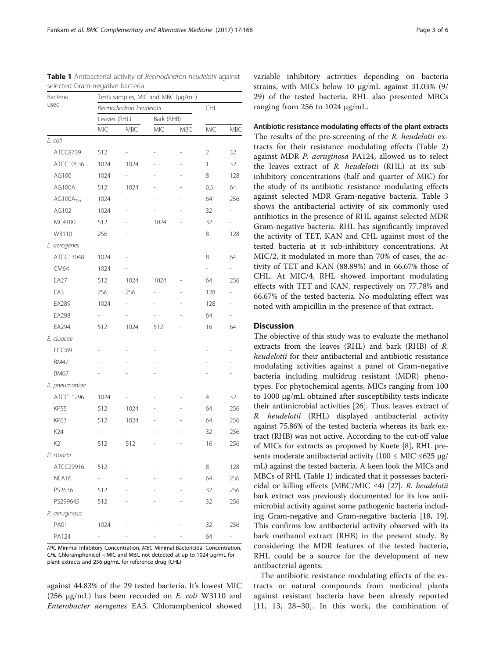<span id="page-2-0"></span>Fankam et al. BMC Complementary and Alternative Medicine (2017) 17:168 Page 3 of 6

| Bacteria               | Tests samples, MIC and MBC (µg/mL) |                          |            |     |                          |                |  |  |
|------------------------|------------------------------------|--------------------------|------------|-----|--------------------------|----------------|--|--|
| used                   | Recinodindron heudelotii           | CHL                      |            |     |                          |                |  |  |
|                        | Leaves (RHL)                       |                          | Bark (RHB) |     |                          |                |  |  |
|                        | MIC                                | <b>MBC</b>               | <b>MIC</b> | MBC | <b>MIC</b>               | <b>MBC</b>     |  |  |
| E. coli                |                                    |                          |            |     |                          |                |  |  |
| ATCC8739               | 512                                |                          |            |     | 2                        | 32             |  |  |
| ATCC10536              | 1024                               | 1024                     |            |     | 1                        | 32             |  |  |
| AG100                  | 1024                               |                          |            |     | 8                        | 128            |  |  |
| <b>AG100A</b>          | 512                                | 1024                     |            |     | 0,5                      | 64             |  |  |
| AG100A <sub>Test</sub> | 1024                               |                          |            |     | 64                       | 256            |  |  |
| AG102                  | 1024                               |                          |            |     | 32                       | ÷,             |  |  |
| MC4100                 | 512                                |                          | 1024       |     | 32                       |                |  |  |
| W3110                  | 256                                |                          |            |     | 8                        | 128            |  |  |
| E. aerogenes           |                                    |                          |            |     |                          |                |  |  |
| ATCC13048              | 1024                               |                          |            |     | 8                        | 64             |  |  |
| CM64                   | 1024                               |                          |            |     | $\overline{\phantom{a}}$ | $\sim$         |  |  |
| EA27                   | 512                                | 1024                     | 1024       |     | 64                       | 256            |  |  |
| EA3                    | 256                                | 256                      |            |     | 128                      |                |  |  |
| EA289                  | 1024                               | $\overline{\phantom{0}}$ |            |     | 128                      |                |  |  |
| EA298                  |                                    |                          |            |     | 64                       |                |  |  |
| EA294                  | 512                                | 1024                     | 512        |     | 16                       | 64             |  |  |
| E. cloacae             |                                    |                          |            |     |                          |                |  |  |
| ECCI69                 |                                    |                          |            |     |                          |                |  |  |
| <b>BM47</b>            |                                    |                          |            |     |                          |                |  |  |
| <b>BM67</b>            |                                    |                          |            |     |                          |                |  |  |
| K. pneumoniae          |                                    |                          |            |     |                          |                |  |  |
| ATCC11296              | 1024                               |                          |            |     | 4                        | 32             |  |  |
| KP55                   | 512                                | 1024                     |            |     | 64                       | 256            |  |  |
| <b>KP63</b>            | 512                                | 1024                     |            |     | 64                       | 256            |  |  |
| K24                    |                                    |                          |            |     | 32                       | 256            |  |  |
| K <sub>2</sub>         | 512                                | 512                      |            |     | 16                       | 256            |  |  |
| P. stuartii            |                                    |                          |            |     |                          |                |  |  |
| ATCC29916              | 512                                |                          |            |     | 8                        | 128            |  |  |
| NEA16                  |                                    |                          |            |     | 64                       | 256            |  |  |
| PS2636                 | 512                                |                          |            |     | 32                       | 256            |  |  |
| PS299645               | 512                                |                          |            |     | 32                       | 256            |  |  |
| P. aeruginosa          |                                    |                          |            |     |                          |                |  |  |
| <b>PA01</b>            | 1024                               |                          |            |     | 32                       | 256            |  |  |
| PA124                  |                                    |                          |            |     | 64                       | $\overline{a}$ |  |  |

Table 1 Antibacterial activity of Recinodindron heudelotii against selected Gram-negative bacteria

MIC Minimal Inhibitory Concentration, MBC Minimal Bactericidal Concentration, CHL Chloramphenicol -: MIC and MBC not detected at up to 1024 μg/mL for plant extracts and 256 μg/mL for reference drug (CHL)

against 44.83% of the 29 tested bacteria. It's lowest MIC (256  $\mu$ g/mL) has been recorded on *E. coli* W3110 and Enterobacter aerogenes EA3. Chloramphenicol showed variable inhibitory activities depending on bacteria strains, with MICs below 10 μg/mL against 31.03% (9/ 29) of the tested bacteria. RHL also presented MBCs ranging from 256 to 1024 μg/mL.

# Antibiotic resistance modulating effects of the plant extracts

The results of the pre-screening of the R. heudelotii extracts for their resistance modulating effects (Table [2](#page-3-0)) against MDR P. aeruginosa PA124, allowed us to select the leaves extract of R. heudelotii (RHL) at its subinhibitory concentrations (half and quarter of MIC) for the study of its antibiotic resistance modulating effects against selected MDR Gram-negative bacteria. Table [3](#page-3-0) shows the antibacterial activity of six commonly used antibiotics in the presence of RHL against selected MDR Gram-negative bacteria. RHL has significantly improved the activity of TET, KAN and CHL against most of the tested bacteria at it sub-inhibitory concentrations. At MIC/2, it modulated in more than 70% of cases, the activity of TET and KAN (88.89%) and in 66.67% those of CHL. At MIC/4, RHL showed important modulating effects with TET and KAN, respectively on 77.78% and 66.67% of the tested bacteria. No modulating effect was noted with ampicillin in the presence of that extract.

# Discussion

The objective of this study was to evaluate the methanol extracts from the leaves (RHL) and bark (RHB) of R. heudelotii for their antibacterial and antibiotic resistance modulating activities against a panel of Gram-negative bacteria including multidrug resistant (MDR) phenotypes. For phytochemical agents, MICs ranging from 100 to 1000 μg/mL obtained after susceptibility tests indicate their antimicrobial activities [[26\]](#page-5-0). Thus, leaves extract of R. heudelotii (RHL) displayed antibacterial activity against 75.86% of the tested bacteria whereas its bark extract (RHB) was not active. According to the cut-off value of MICs for extracts as proposed by Kuete [\[8](#page-4-0)], RHL presents moderate antibacterial activity ( $100 \leq MIC \leq 625 \mu g$ / mL) against the tested bacteria. A keen look the MICs and MBCs of RHL (Table 1) indicated that it possesses bactericidal or killing effects (MBC/MIC ≤4) [[27](#page-5-0)]. R. heudelotii bark extract was previously documented for its low antimicrobial activity against some pathogenic bacteria including Gram-negative and Gram-negative bacteria [[18](#page-4-0), [19](#page-4-0)]. This confirms low antibacterial activity observed with its bark methanol extract (RHB) in the present study. By considering the MDR features of the tested bacteria, RHL could be a source for the development of new antibacterial agents.

The antibiotic resistance modulating effects of the extracts or natural compounds from medicinal plants against resistant bacteria have been already reported [[11, 13,](#page-4-0) [28](#page-5-0)–[30\]](#page-5-0). In this work, the combination of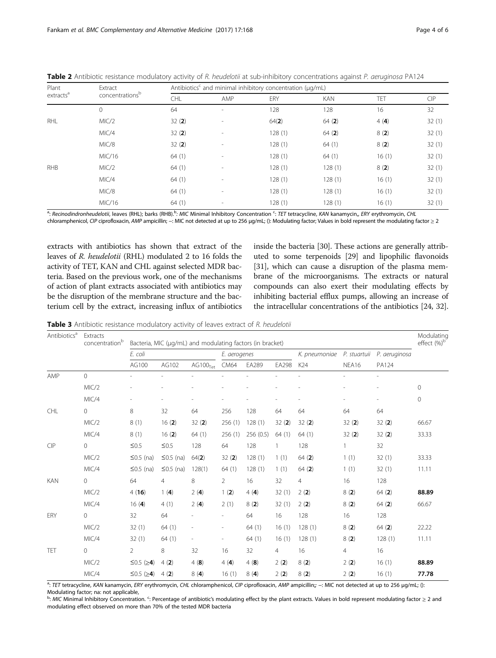| Plant                                      | Extract<br>concentrations <sup>b</sup> | Antibiotics <sup>c</sup> and minimal inhibitory concentration (µg/mL) |                          |        |            |       |            |  |  |
|--------------------------------------------|----------------------------------------|-----------------------------------------------------------------------|--------------------------|--------|------------|-------|------------|--|--|
|                                            |                                        | <b>CHL</b>                                                            | AMP                      | ERY    | <b>KAN</b> | TET   | <b>CIP</b> |  |  |
|                                            | 0                                      | 64                                                                    | $\overline{\phantom{a}}$ | 128    | 128        | 16    | 32         |  |  |
| extracts <sup>a</sup><br>RHL<br><b>RHB</b> | MIC/2                                  | 32(2)                                                                 | $\overline{\phantom{a}}$ | 64(2)  | 64(2)      | 4(4)  | 32(1)      |  |  |
|                                            | MIC/4                                  | 32(2)                                                                 | $\sim$                   | 128(1) | 64(2)      | 8(2)  | 32(1)      |  |  |
|                                            | MIC/8                                  | 32(2)                                                                 | $\sim$                   | 128(1) | 64(1)      | 8(2)  | 32(1)      |  |  |
|                                            | MIC/16                                 | 64(1)                                                                 |                          | 128(1) | 64(1)      | 16(1) | 32(1)      |  |  |
|                                            | MIC/2                                  | 64(1)                                                                 | $\overline{\phantom{a}}$ | 128(1) | 128(1)     | 8(2)  | 32(1)      |  |  |
|                                            | MIC/4                                  | 64(1)                                                                 |                          | 128(1) | 128(1)     | 16(1) | 32(1)      |  |  |
|                                            | MIC/8                                  | 64(1)                                                                 | $\overline{\phantom{a}}$ | 128(1) | 128(1)     | 16(1) | 32(1)      |  |  |
|                                            | MIC/16                                 | 64(1)                                                                 | $\sim$                   | 128(1) | 128(1)     | 16(1) | 32(1)      |  |  |

<span id="page-3-0"></span>Table 2 Antibiotic resistance modulatory activity of R. heudelotii at sub-inhibitory concentrations against P. aeruginosa PA124

<sup>a</sup>: Recinodindronheudelotii, leaves (RHL); barks (RHB).<sup>b</sup>: MIC Minimal Inhibitory Concentration <sup>c</sup>: TET tetracycline, KAN kanamycin,, ERY erythromycin, CHL chloramphenicol, CIP ciprofloxacin, AMP ampicillin; -: MIC not detected at up to 256 µg/mL; (): Modulating factor; Values in bold represent the modulating factor ≥ 2

extracts with antibiotics has shown that extract of the leaves of R. heudelotii (RHL) modulated 2 to 16 folds the activity of TET, KAN and CHL against selected MDR bacteria. Based on the previous work, one of the mechanisms of action of plant extracts associated with antibiotics may be the disruption of the membrane structure and the bacterium cell by the extract, increasing influx of antibiotics

inside the bacteria [\[30\]](#page-5-0). These actions are generally attributed to some terpenoids [[29](#page-5-0)] and lipophilic flavonoids [[31](#page-5-0)], which can cause a disruption of the plasma membrane of the microorganisms. The extracts or natural compounds can also exert their modulating effects by inhibiting bacterial efflux pumps, allowing an increase of the intracellular concentrations of the antibiotics [[24](#page-5-0), [32](#page-5-0)].

**Table 3** Antibiotic resistance modulatory activity of leaves extract of R. heudelotii

| Antibiotics <sup>a</sup> | Extracts<br>concentrationb | Bacteria, MIC (µg/mL) and modulating factors (in bracket) |                 |                          |                          |          |                |               |              |               | Modulating<br>effect (%) <sup>b</sup> |
|--------------------------|----------------------------|-----------------------------------------------------------|-----------------|--------------------------|--------------------------|----------|----------------|---------------|--------------|---------------|---------------------------------------|
|                          |                            | E. coli                                                   |                 |                          | E. aerogenes             |          |                | K. pneumoniae | P. stuartuii | P. aeruginosa |                                       |
|                          |                            | AG100                                                     | AG102           | AG100 <sub>Test</sub>    | CM64                     | EA289    | EA298          | K24           | NEA16        | PA124         |                                       |
| AMP                      | $\overline{0}$             |                                                           |                 |                          |                          |          |                |               |              |               |                                       |
|                          | MIC/2                      |                                                           |                 |                          |                          |          |                |               |              |               | $\mathbf{0}$                          |
|                          | MIC/4                      |                                                           |                 |                          |                          |          |                |               | ä,           |               | $\mathbf{0}$                          |
| CHL                      | $\overline{0}$             | 8                                                         | 32              | 64                       | 256                      | 128      | 64             | 64            | 64           | 64            |                                       |
|                          | MIC/2                      | 8(1)                                                      | 16(2)           | 32(2)                    | 256(1)                   | 128(1)   | 32(2)          | 32(2)         | 32(2)        | 32(2)         | 66.67                                 |
|                          | MIC/4                      | 8(1)                                                      | 16(2)           | 64(1)                    | 256(1)                   | 256(0.5) | 64(1)          | 64(1)         | 32(2)        | 32(2)         | 33.33                                 |
| CIP                      | $\overline{0}$             | $\leq 0.5$                                                | $\leq 0.5$      | 128                      | 64                       | 128      |                | 128           | 1            | 32            |                                       |
|                          | MIC/2                      | $\leq$ 0.5 (na)                                           | $\leq$ 0.5 (na) | 64(2)                    | 32(2)                    | 128(1)   | 1(1)           | 64(2)         | 1(1)         | 32(1)         | 33.33                                 |
|                          | MIC/4                      | $\leq$ 0.5 (na)                                           | $\leq$ 0.5 (na) | 128(1)                   | 64(1)                    | 128(1)   | 1(1)           | 64(2)         | 1(1)         | 32(1)         | 11.11                                 |
| <b>KAN</b>               | $\mathbf{0}$               | 64                                                        | $\overline{4}$  | 8                        | $\overline{2}$           | 16       | 32             | 4             | 16           | 128           |                                       |
|                          | MIC/2                      | 4(16)                                                     | 1(4)            | 2(4)                     | 1(2)                     | 4(4)     | 32(1)          | 2(2)          | 8(2)         | 64(2)         | 88.89                                 |
|                          | MIC/4                      | 16(4)                                                     | 4(1)            | 2(4)                     | 2(1)                     | 8(2)     | 32(1)          | 2(2)          | 8(2)         | 64(2)         | 66.67                                 |
| ERY                      | 0                          | 32                                                        | 64              |                          | $\overline{\phantom{a}}$ | 64       | 16             | 128           | 16           | 128           |                                       |
|                          | MIC/2                      | 32(1)                                                     | 64(1)           | $\overline{a}$           | $\overline{\phantom{a}}$ | 64(1)    | 16(1)          | 128(1)        | 8(2)         | 64(2)         | 22.22                                 |
|                          | MIC/4                      | 32(1)                                                     | 64(1)           | $\overline{\phantom{0}}$ | $\overline{\phantom{a}}$ | 64(1)    | 16(1)          | 128(1)        | 8(2)         | 128(1)        | 11.11                                 |
| <b>TET</b>               | 0                          | 2                                                         | 8               | 32                       | 16                       | 32       | $\overline{4}$ | 16            | 4            | 16            |                                       |
|                          | MIC/2                      | ≤0.5 (≥4)                                                 | 4(2)            | 4(8)                     | 4(4)                     | 4(8)     | 2(2)           | 8(2)          | 2(2)         | 16(1)         | 88.89                                 |
|                          | MIC/4                      | $≤0.5$ ( $≥$ <b>4</b> )                                   | 4(2)            | 8(4)                     | 16(1)                    | 8(4)     | 2(2)           | 8(2)          | 2(2)         | 16(1)         | 77.78                                 |

a.<br><sub>E</sub> TET tetracycline, KAN kanamycin, ERY erythromycin, CHL chloramphenicol, CIP ciprofloxacin, AMP ampicillin;; −: MIC not detected at up to 256 μg/mL; (): Modulating factor; na: not applicable,

 $^{\rm b}$ : MIC Minimal Inhibitory Concentration. <sup>c</sup>: Percentage of antibiotic's modulating effect by the plant extracts. Values in bold represent modulating factor ≥ 2 and modulating effect observed on more than 70% of the tested MDR bacteria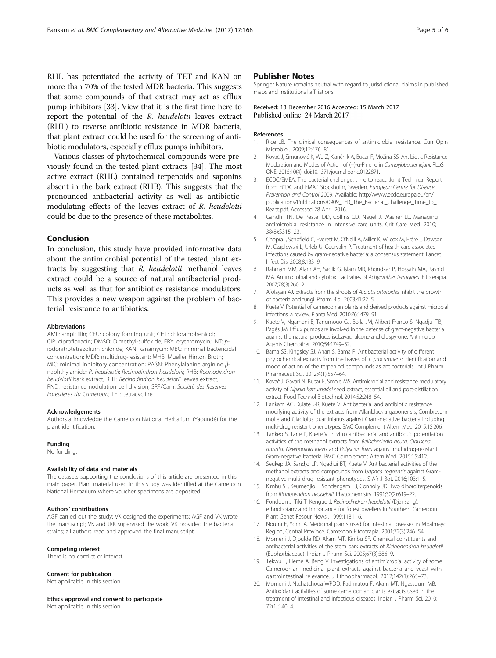<span id="page-4-0"></span>RHL has potentiated the activity of TET and KAN on more than 70% of the tested MDR bacteria. This suggests that some compounds of that extract may act as efflux pump inhibitors [\[33\]](#page-5-0). View that it is the first time here to report the potential of the R. heudelotii leaves extract (RHL) to reverse antibiotic resistance in MDR bacteria, that plant extract could be used for the screening of antibiotic modulators, especially efflux pumps inhibitors.

Various classes of phytochemical compounds were previously found in the tested plant extracts [\[34](#page-5-0)]. The most active extract (RHL) contained terpenoids and saponins absent in the bark extract (RHB). This suggests that the pronounced antibacterial activity as well as antibioticmodulating effects of the leaves extract of R. heudelotii could be due to the presence of these metabolites.

## Conclusion

In conclusion, this study have provided informative data about the antimicrobial potential of the tested plant extracts by suggesting that R. heudelotii methanol leaves extract could be a source of natural antibacterial products as well as that for antibiotics resistance modulators. This provides a new weapon against the problem of bacterial resistance to antibiotics.

#### Abbreviations

AMP: ampicillin; CFU: colony forming unit; CHL: chloramphenicol; CIP: ciprofloxacin; DMSO: Dimethyl-sulfoxide; ERY: erythromycin; INT: piodonitrotetrazolium chloride; KAN: kanamycin; MBC: minimal bactericidal concentration; MDR: multidrug-resistant; MHB: Mueller Hinton Broth; MIC: minimal inhibitory concentration; PAßN: Phenylalanine arginine βnaphthylamide; R. heudelotii: Recinodindron heudelotii; RHB: Recinodindron heudelotii bark extract; RHL: Recinodindron heudelotii leaves extract; RND: resistance nodulation cell division; SRF/Cam: Sociètè des Reserves Forestières du Cameroun; TET: tetracycline

#### Acknowledgements

Authors acknowledge the Cameroon National Herbarium (Yaoundé) for the plant identification.

#### Funding

No funding.

#### Availability of data and materials

The datasets supporting the conclusions of this article are presented in this main paper. Plant material used in this study was identified at the Cameroon National Herbarium where voucher specimens are deposited.

#### Authors' contributions

AGF carried out the study; VK designed the experiments; AGF and VK wrote the manuscript; VK and JRK supervised the work; VK provided the bacterial strains; all authors read and approved the final manuscript.

#### Competing interest

There is no conflict of interest.

#### Consent for publication

Not applicable in this section.

Ethics approval and consent to participate

Not applicable in this section.

#### Publisher Notes

Springer Nature remains neutral with regard to jurisdictional claims in published maps and institutional affiliations.

#### Received: 13 December 2016 Accepted: 15 March 2017 Published online: 24 March 2017

#### References

- 1. Rice LB. The clinical consequences of antimicrobial resistance. Curr Opin Microbiol. 2009;12:476–81.
- 2. Kovač J, Šimunović K, Wu Z, Klančnik A, Bucar F, Možina SS. Antibiotic Resistance Modulation and Modes of Action of (−)-α-Pinene in Campylobacter jejuni. PLoS ONE. 2015;10(4). doi:10.1371/journal.pone.0122871.
- 3. ECDC/EMEA. The bacterial challenge: time to react, Joint Technical Report from ECDC and EMA," Stockholm, Sweden. European Centre for Disease Prevention and Control 2009; Available: [http://www.ecdc.europa.eu/en/](http://www.ecdc.europa.eu/en/publications/Publications/0909_TER_The_Bacterial_Challenge_Time_to_React.pdf) publications/Publications/0909\_TER\_The\_Bacterial\_Challenge\_Time\_to [React.pdf.](http://www.ecdc.europa.eu/en/publications/Publications/0909_TER_The_Bacterial_Challenge_Time_to_React.pdf) Accessed 28 April 2016.
- 4. Gandhi TN, De Pestel DD, Collins CD, Nagel J, Washer LL. Managing antimicrobial resistance in intensive care units. Crit Care Med. 2010; 38(8):S315–23.
- 5. Chopra I, Schofield C, Everett M, O'Neill A, Miller K, Wilcox M, Frère J, Dawson M, Czaplewski L, Urleb U, Courvalin P. Treatment of health-care associated infections caused by gram-negative bacteria: a consensus statement. Lancet Infect Dis. 2008;8:133–9.
- 6. Rahman MM, Alam AH, Sadik G, Islam MR, Khondkar P, Hossain MA, Rashid MA. Antimicrobial and cytotoxic activities of Achyranthes ferruginea. Fitoterapia. 2007;78(3):260–2.
- 7. Afolayan AJ. Extracts from the shoots of Arctotis artotoides inhibit the growth of bacteria and fungi. Pharm Biol. 2003;41:22–5.
- 8. Kuete V. Potential of cameroonian plants and derived products against microbial infections: a review. Planta Med. 2010;76:1479–91.
- 9. Kuete V, Ngameni B, Tangmouo GJ, Bolla JM, Alibert-Franco S, Ngadjui TB, Pagès JM. Efflux pumps are involved in the defense of gram-negative bacteria against the natural products isobavachalcone and diospyrone. Antimicrob Agents Chemother. 2010;54:1749–52.
- 10. Bama SS, Kingsley SJ, Anan S, Bama P. Antibacterial activity of different phytochemical extracts from the leaves of T. procumbens: Identification and mode of action of the terpeniod compounds as antibacterials. Int J Pharm Pharmaceut Sci. 2012;4(1):557–64.
- 11. Kovač J, Gavari N, Bucar F, Smole MS. Antimicrobial and resistance modulatory activity of Alpinia katsumadai seed extract, essential oil and post-distillation extract. Food Technol Biotechnol. 2014;52:248–54.
- 12. Fankam AG, Kuiate J-R, Kuete V. Antibacterial and antibiotic resistance modifying activity of the extracts from Allanblackia gabonensis, Combretum molle and Gladiolus quartinianus against Gram-negative bacteria including multi-drug resistant phenotypes. BMC Complement Altern Med. 2015;15:206.
- 13. Tankeo S, Tane P, Kuete V. In vitro antibacterial and antibiotic potentiation activities of the methanol extracts from Beilschmiedia acuta, Clausena anisata, Newbouldia laevis and Polyscias fulva against multidrug-resistant Gram-negative bacteria. BMC Complement Altern Med. 2015;15:412.
- 14. Seukep JA, Sandjo LP, Ngadjui BT, Kuete V. Antibacterial activities of the methanol extracts and compounds from Uapaca togoensis against Gramnegative multi-drug resistant phenotypes. S Afr J Bot. 2016;103:1–5.
- 15. Kimbu SF, Keumedjio F, Sondengam LB, Connolly JD. Two dinorditerpenoids from Ricinodendron heudelotii. Phytochemistry. 1991;30(2):619–22.
- 16. Fondoun J, Tiki T, Kengue J. Recinodindron heudelotii (Djansang): ethnobotany and importance for forest dwellers in Southern Cameroon. Plant Genet Resour Newsl. 1999;118:1–6.
- 17. Noumi E, Yomi A. Medicinal plants used for intestinal diseases in Mbalmayo Region, Central Province. Cameroon Fitoterapia. 2001;72(3):246–54.
- 18. Momeni J, Djoulde RD, Akam MT, Kimbu SF. Chemical constituents and antibacterial activities of the stem bark extracts of Ricinodendron heudelotii (Euphorbiaceae). Indian J Pharm Sci. 2005;67(3):386–9.
- 19. Tekwu E, Pieme A, Beng V. Investigations of antimicrobial activity of some Cameroonian medicinal plant extracts against bacteria and yeast with gastrointestinal relevance. J Ethnopharmacol. 2012;142(1):265–73.
- 20. Momeni J, Ntchatchoua WPDD, Fadimatou F, Akam MT, Ngassoum MB. Antioxidant activities of some cameroonian plants extracts used in the treatment of intestinal and infectious diseases. Indian J Pharm Sci. 2010; 72(1):140–4.